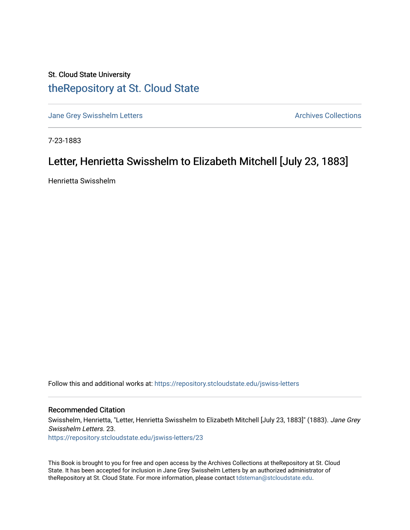## St. Cloud State University [theRepository at St. Cloud State](https://repository.stcloudstate.edu/)

[Jane Grey Swisshelm Letters](https://repository.stcloudstate.edu/jswiss-letters) **Archives Collections** Archives Collections

7-23-1883

## Letter, Henrietta Swisshelm to Elizabeth Mitchell [July 23, 1883]

Henrietta Swisshelm

Follow this and additional works at: [https://repository.stcloudstate.edu/jswiss-letters](https://repository.stcloudstate.edu/jswiss-letters?utm_source=repository.stcloudstate.edu%2Fjswiss-letters%2F23&utm_medium=PDF&utm_campaign=PDFCoverPages) 

## Recommended Citation

Swisshelm, Henrietta, "Letter, Henrietta Swisshelm to Elizabeth Mitchell [July 23, 1883]" (1883). Jane Grey Swisshelm Letters. 23. [https://repository.stcloudstate.edu/jswiss-letters/23](https://repository.stcloudstate.edu/jswiss-letters/23?utm_source=repository.stcloudstate.edu%2Fjswiss-letters%2F23&utm_medium=PDF&utm_campaign=PDFCoverPages) 

This Book is brought to you for free and open access by the Archives Collections at theRepository at St. Cloud State. It has been accepted for inclusion in Jane Grey Swisshelm Letters by an authorized administrator of theRepository at St. Cloud State. For more information, please contact [tdsteman@stcloudstate.edu](mailto:tdsteman@stcloudstate.edu).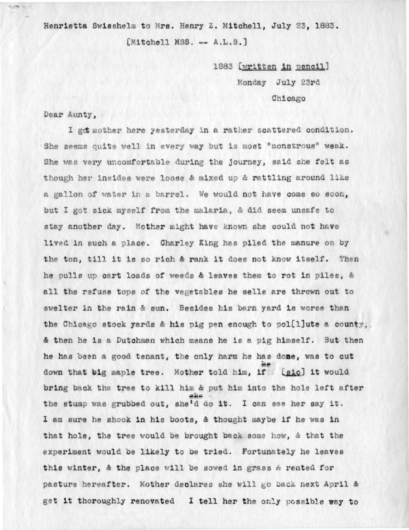Henrietta Swisshelm to Mrs. Henry Z. Mitchell, July 23, 1883. [Mitchell MSS. -- A.L.S.]

> 1883 [written in pencil] Monday July 23rd Chicago

Dear Aunty.

closed the car

I got mother here yesterday in a rather scattered condition. She seems quite well in every way but is most "monstrous" weak. She was very uncomfortable during the journey, said she felt as though her insides were loose & mixed up & rattling around like a gallon of water in a barrel. We would not have come so soon, but I got sick myself from the malaria, & did seem unsafe to stay another day. Mother might have known she could not have lived in such a place. Charley King has piled the manure on by the ton, till it is so rich & rank it does not know itself. Then he pulls up cart loads of weeds & leaves them to rot in piles, & all the refuse tops of the vegetables he sells are thrown out to swelter in the rain & sun. Besides his barn yard is worse than the Chicago stock yards & his pig pen enough to pol[l]ute a county, & then he is a Dutchman which means he is a pig himself. But then he has been a good tenant, the only harm he has done, was to cut down that big maple tree. Mother told him, if [sic] it would bring back the tree to kill him & put him into the hole left after the stump was grubbed out, she'd do it. I can see her say it. I am sure he shook in his boots, & thought maybe if he was in that hole, the tree would be brought back some how, & that the experiment would be likely to be tried. Fortunately he leaves this winter, & the place will be sowed in grass & rented for pasture hereafter. Mother declares she will go back next April & get it thoroughly renovated I tell her the only possible way to